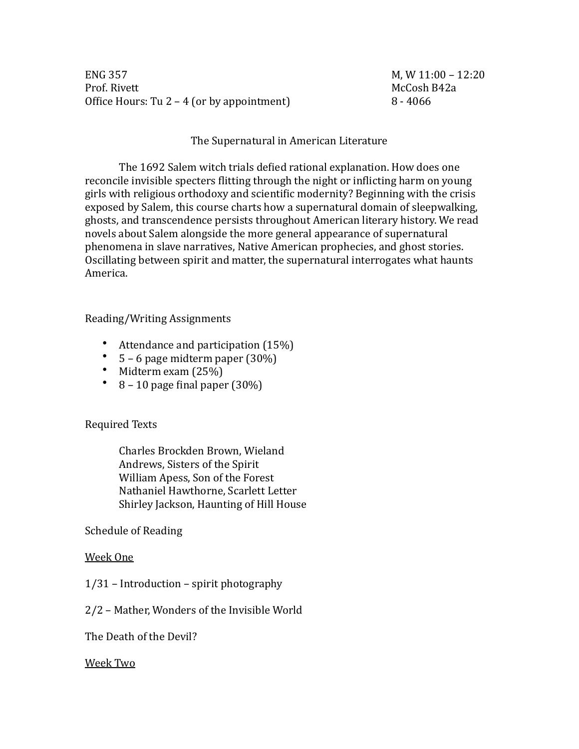**ENG 357** Prof. Rivett Office Hours: Tu  $2 - 4$  (or by appointment)

M, W  $11:00 - 12:20$ McCosh B42a  $8 - 4066$ 

## The Supernatural in American Literature

The 1692 Salem witch trials defied rational explanation. How does one reconcile invisible specters flitting through the night or inflicting harm on young girls with religious orthodoxy and scientific modernity? Beginning with the crisis exposed by Salem, this course charts how a supernatural domain of sleepwalking, ghosts, and transcendence persists throughout American literary history. We read novels about Salem alongside the more general appearance of supernatural phenomena in slave narratives. Native American prophecies, and ghost stories. Oscillating between spirit and matter, the supernatural interrogates what haunts America.

### Reading/Writing Assignments

- Attendance and participation  $(15%)$
- $5 6$  page midterm paper  $(30\%)$
- Midterm exam  $(25%)$
- $8 10$  page final paper  $(30\%)$

**Required Texts** 

Charles Brockden Brown, Wieland Andrews, Sisters of the Spirit William Apess, Son of the Forest Nathaniel Hawthorne, Scarlett Letter Shirley Jackson, Haunting of Hill House

Schedule of Reading

#### Week One

 $1/31$  – Introduction – spirit photography

2/2 - Mather, Wonders of the Invisible World

The Death of the Devil?

#### Week Two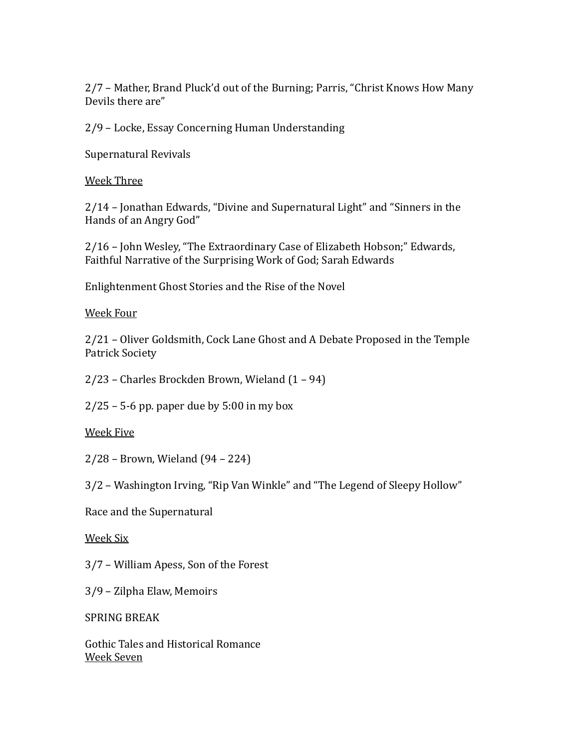2/7 – Mather, Brand Pluck'd out of the Burning; Parris, "Christ Knows How Many Devils there are"

2/9 – Locke, Essay Concerning Human Understanding

Supernatural Revivals

Week Three

2/14 – Jonathan Edwards, "Divine and Supernatural Light" and "Sinners in the Hands of an Angry God"

2/16 – John Wesley, "The Extraordinary Case of Elizabeth Hobson;" Edwards, Faithful Narrative of the Surprising Work of God; Sarah Edwards

Enlightenment Ghost Stories and the Rise of the Novel

Week Four

2/21 – Oliver Goldsmith, Cock Lane Ghost and A Debate Proposed in the Temple Patrick Society

 $2/23$  – Charles Brockden Brown, Wieland  $(1 - 94)$ 

 $2/25$  – 5-6 pp. paper due by 5:00 in my box

Week Five

 $2/28$  – Brown, Wieland (94 – 224)

3/2 – Washington Irving, "Rip Van Winkle" and "The Legend of Sleepy Hollow"

Race and the Supernatural

# Week Six

 $3/7$  – William Apess, Son of the Forest

3/9 – Zilpha Elaw, Memoirs

SPRING BREAK

Gothic Tales and Historical Romance Week Seven